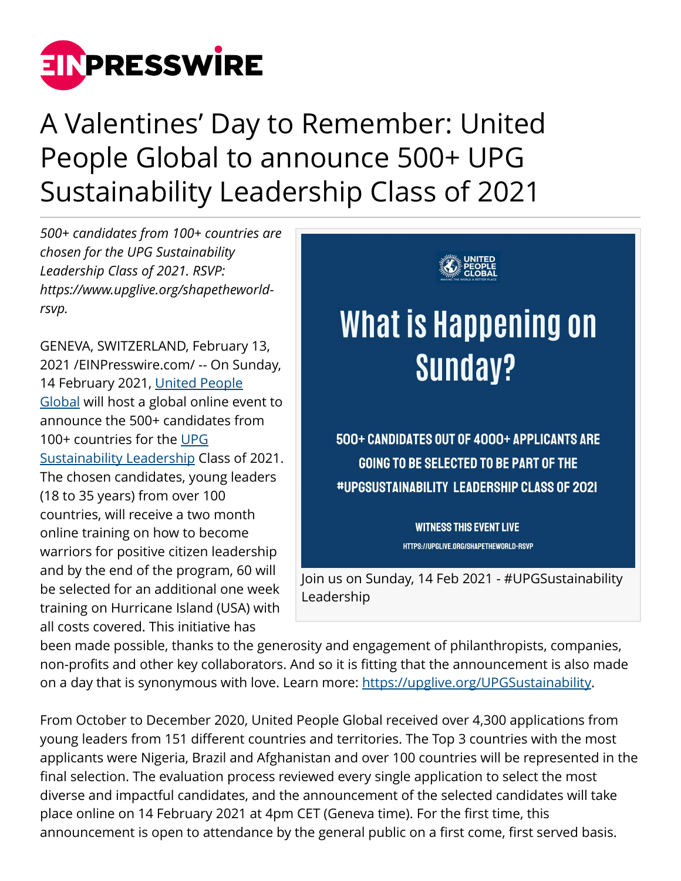

## A Valentines' Day to Remember: United People Global to announce 500+ UPG Sustainability Leadership Class of 2021

*500+ candidates from 100+ countries are chosen for the UPG Sustainability Leadership Class of 2021. RSVP: https://www.upglive.org/shapetheworldrsvp.*

GENEVA, SWITZERLAND, February 13, 2021 /[EINPresswire.com](http://www.einpresswire.com)/ -- On Sunday, 14 February 2021, [United People](http://unitedpeople.global/about-us) [Global](http://unitedpeople.global/about-us) will host a global online event to announce the 500+ candidates from 100+ countries for the [UPG](http://upglive.org/UPGSustainability) [Sustainability Leadership](http://upglive.org/UPGSustainability) Class of 2021. The chosen candidates, young leaders (18 to 35 years) from over 100 countries, will receive a two month online training on how to become warriors for positive citizen leadership and by the end of the program, 60 will be selected for an additional one week training on Hurricane Island (USA) with all costs covered. This initiative has



been made possible, thanks to the generosity and engagement of philanthropists, companies, non-profits and other key collaborators. And so it is fitting that the announcement is also made on a day that is synonymous with love. Learn more: [https://upglive.org/UPGSustainability.](https://upglive.org/UPGSustainability)

From October to December 2020, United People Global received over 4,300 applications from young leaders from 151 different countries and territories. The Top 3 countries with the most applicants were Nigeria, Brazil and Afghanistan and over 100 countries will be represented in the final selection. The evaluation process reviewed every single application to select the most diverse and impactful candidates, and the announcement of the selected candidates will take place online on 14 February 2021 at 4pm CET (Geneva time). For the first time, this announcement is open to attendance by the general public on a first come, first served basis.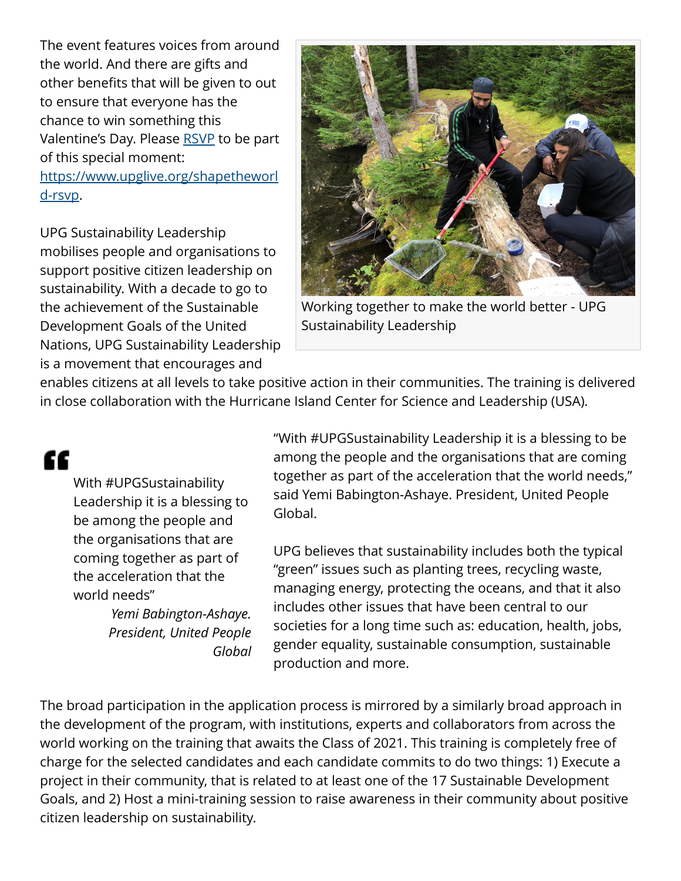The event features voices from around the world. And there are gifts and other benefits that will be given to out to ensure that everyone has the chance to win something this Valentine's Day. Please [RSVP](https://www.upglive.org/shapetheworld-rsvp) to be part of this special moment: [https://www.upglive.org/shapetheworl](https://www.upglive.org/shapetheworld-rsvp) [d-rsvp](https://www.upglive.org/shapetheworld-rsvp).

UPG Sustainability Leadership mobilises people and organisations to support positive citizen leadership on sustainability. With a decade to go to the achievement of the Sustainable Development Goals of the United Nations, UPG Sustainability Leadership is a movement that encourages and



Working together to make the world better - UPG Sustainability Leadership

enables citizens at all levels to take positive action in their communities. The training is delivered in close collaboration with the Hurricane Island Center for Science and Leadership (USA).

## "

With #UPGSustainability Leadership it is a blessing to be among the people and the organisations that are coming together as part of the acceleration that the world needs"

> *Yemi Babington-Ashaye. President, United People Global*

"With #UPGSustainability Leadership it is a blessing to be among the people and the organisations that are coming together as part of the acceleration that the world needs," said Yemi Babington-Ashaye. President, United People Global.

UPG believes that sustainability includes both the typical "green" issues such as planting trees, recycling waste, managing energy, protecting the oceans, and that it also includes other issues that have been central to our societies for a long time such as: education, health, jobs, gender equality, sustainable consumption, sustainable production and more.

The broad participation in the application process is mirrored by a similarly broad approach in the development of the program, with institutions, experts and collaborators from across the world working on the training that awaits the Class of 2021. This training is completely free of charge for the selected candidates and each candidate commits to do two things: 1) Execute a project in their community, that is related to at least one of the 17 Sustainable Development Goals, and 2) Host a mini-training session to raise awareness in their community about positive citizen leadership on sustainability.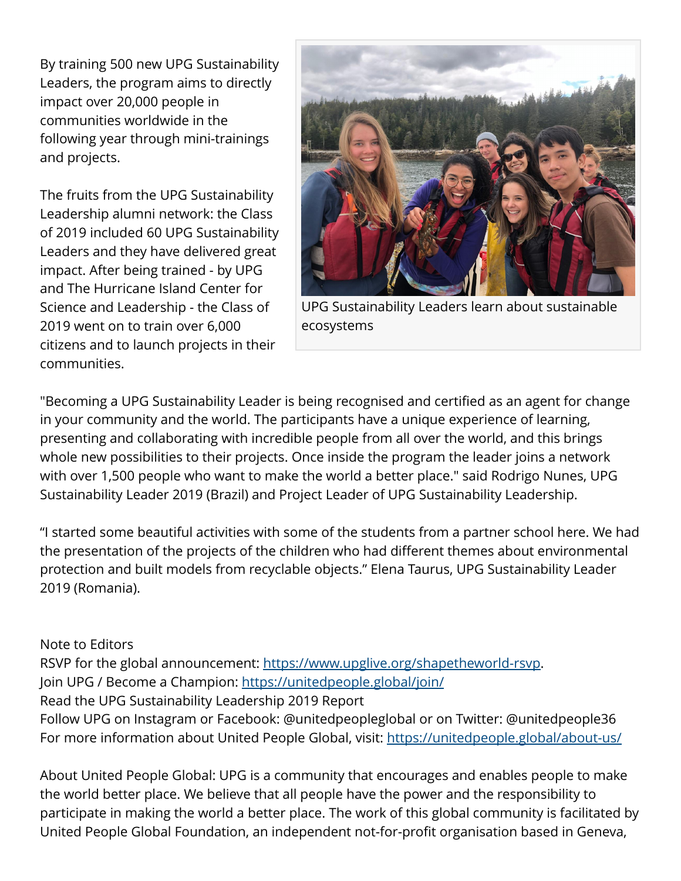By training 500 new UPG Sustainability Leaders, the program aims to directly impact over 20,000 people in communities worldwide in the following year through mini-trainings and projects.

The fruits from the UPG Sustainability Leadership alumni network: the Class of 2019 included 60 UPG Sustainability Leaders and they have delivered great impact. After being trained - by UPG and The Hurricane Island Center for Science and Leadership - the Class of 2019 went on to train over 6,000 citizens and to launch projects in their communities.



UPG Sustainability Leaders learn about sustainable ecosystems

"Becoming a UPG Sustainability Leader is being recognised and certified as an agent for change in your community and the world. The participants have a unique experience of learning, presenting and collaborating with incredible people from all over the world, and this brings whole new possibilities to their projects. Once inside the program the leader joins a network with over 1,500 people who want to make the world a better place." said Rodrigo Nunes, UPG Sustainability Leader 2019 (Brazil) and Project Leader of UPG Sustainability Leadership.

"I started some beautiful activities with some of the students from a partner school here. We had the presentation of the projects of the children who had different themes about environmental protection and built models from recyclable objects." Elena Taurus, UPG Sustainability Leader 2019 (Romania).

Note to Editors RSVP for the global announcement: <https://www.upglive.org/shapetheworld-rsvp>. Join UPG / Become a Champion: <https://unitedpeople.global/join/> Read the UPG Sustainability Leadership 2019 Report Follow UPG on Instagram or Facebook: @unitedpeopleglobal or on Twitter: @unitedpeople36 For more information about United People Global, visit:<https://unitedpeople.global/about-us/>

About United People Global: UPG is a community that encourages and enables people to make the world better place. We believe that all people have the power and the responsibility to participate in making the world a better place. The work of this global community is facilitated by United People Global Foundation, an independent not-for-profit organisation based in Geneva,